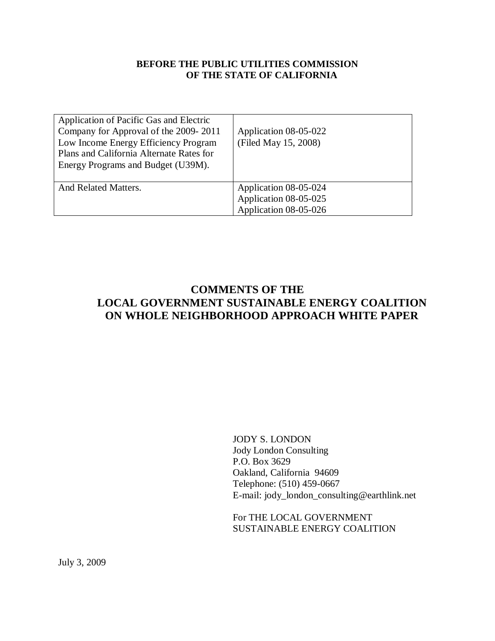## **BEFORE THE PUBLIC UTILITIES COMMISSION OF THE STATE OF CALIFORNIA**

| Application of Pacific Gas and Electric<br>Company for Approval of the 2009-2011<br>Low Income Energy Efficiency Program<br>Plans and California Alternate Rates for<br>Energy Programs and Budget (U39M). | Application 08-05-022<br>(Filed May 15, 2008)  |
|------------------------------------------------------------------------------------------------------------------------------------------------------------------------------------------------------------|------------------------------------------------|
| And Related Matters.                                                                                                                                                                                       | Application 08-05-024<br>Application 08-05-025 |
|                                                                                                                                                                                                            | Application 08-05-026                          |

# **COMMENTS OF THE LOCAL GOVERNMENT SUSTAINABLE ENERGY COALITION ON WHOLE NEIGHBORHOOD APPROACH WHITE PAPER**

JODY S. LONDON Jody London Consulting P.O. Box 3629 Oakland, California 94609 Telephone: (510) 459-0667 E-mail: jody\_london\_consulting@earthlink.net

For THE LOCAL GOVERNMENT SUSTAINABLE ENERGY COALITION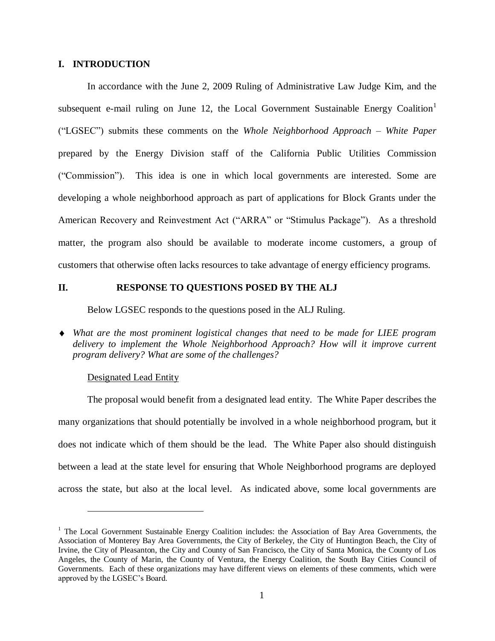### **I. INTRODUCTION**

In accordance with the June 2, 2009 Ruling of Administrative Law Judge Kim, and the subsequent e-mail ruling on June 12, the Local Government Sustainable Energy Coalition<sup>1</sup> ("LGSEC") submits these comments on the *Whole Neighborhood Approach – White Paper* prepared by the Energy Division staff of the California Public Utilities Commission ("Commission"). This idea is one in which local governments are interested. Some are developing a whole neighborhood approach as part of applications for Block Grants under the American Recovery and Reinvestment Act ("ARRA" or "Stimulus Package"). As a threshold matter, the program also should be available to moderate income customers, a group of customers that otherwise often lacks resources to take advantage of energy efficiency programs.

#### **II. RESPONSE TO QUESTIONS POSED BY THE ALJ**

Below LGSEC responds to the questions posed in the ALJ Ruling.

*What are the most prominent logistical changes that need to be made for LIEE program delivery to implement the Whole Neighborhood Approach? How will it improve current program delivery? What are some of the challenges?*

#### Designated Lead Entity

 $\overline{a}$ 

The proposal would benefit from a designated lead entity. The White Paper describes the many organizations that should potentially be involved in a whole neighborhood program, but it does not indicate which of them should be the lead. The White Paper also should distinguish between a lead at the state level for ensuring that Whole Neighborhood programs are deployed across the state, but also at the local level. As indicated above, some local governments are

 $<sup>1</sup>$  The Local Government Sustainable Energy Coalition includes: the Association of Bay Area Governments, the</sup> Association of Monterey Bay Area Governments, the City of Berkeley, the City of Huntington Beach, the City of Irvine, the City of Pleasanton, the City and County of San Francisco, the City of Santa Monica, the County of Los Angeles, the County of Marin, the County of Ventura, the Energy Coalition, the South Bay Cities Council of Governments. Each of these organizations may have different views on elements of these comments, which were approved by the LGSEC's Board.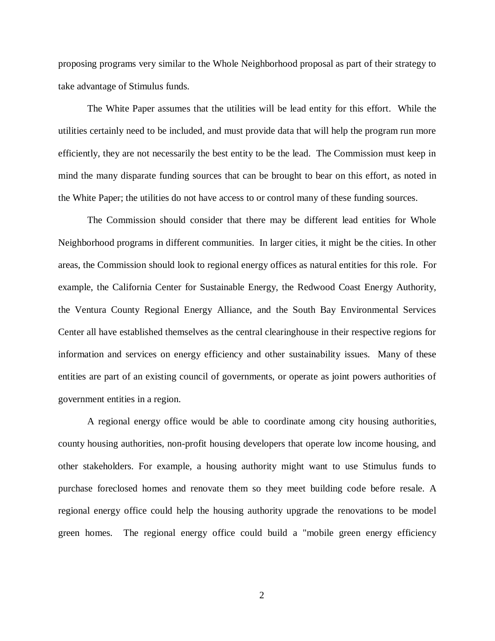proposing programs very similar to the Whole Neighborhood proposal as part of their strategy to take advantage of Stimulus funds.

The White Paper assumes that the utilities will be lead entity for this effort. While the utilities certainly need to be included, and must provide data that will help the program run more efficiently, they are not necessarily the best entity to be the lead. The Commission must keep in mind the many disparate funding sources that can be brought to bear on this effort, as noted in the White Paper; the utilities do not have access to or control many of these funding sources.

The Commission should consider that there may be different lead entities for Whole Neighborhood programs in different communities. In larger cities, it might be the cities. In other areas, the Commission should look to regional energy offices as natural entities for this role. For example, the California Center for Sustainable Energy, the Redwood Coast Energy Authority, the Ventura County Regional Energy Alliance, and the South Bay Environmental Services Center all have established themselves as the central clearinghouse in their respective regions for information and services on energy efficiency and other sustainability issues. Many of these entities are part of an existing council of governments, or operate as joint powers authorities of government entities in a region.

A regional energy office would be able to coordinate among city housing authorities, county housing authorities, non-profit housing developers that operate low income housing, and other stakeholders. For example, a housing authority might want to use Stimulus funds to purchase foreclosed homes and renovate them so they meet building code before resale. A regional energy office could help the housing authority upgrade the renovations to be model green homes. The regional energy office could build a "mobile green energy efficiency

2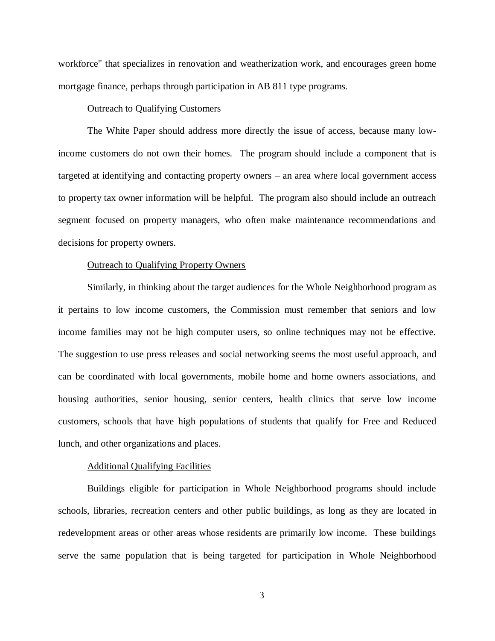workforce" that specializes in renovation and weatherization work, and encourages green home mortgage finance, perhaps through participation in AB 811 type programs.

### Outreach to Qualifying Customers

The White Paper should address more directly the issue of access, because many lowincome customers do not own their homes. The program should include a component that is targeted at identifying and contacting property owners – an area where local government access to property tax owner information will be helpful. The program also should include an outreach segment focused on property managers, who often make maintenance recommendations and decisions for property owners.

#### Outreach to Qualifying Property Owners

Similarly, in thinking about the target audiences for the Whole Neighborhood program as it pertains to low income customers, the Commission must remember that seniors and low income families may not be high computer users, so online techniques may not be effective. The suggestion to use press releases and social networking seems the most useful approach, and can be coordinated with local governments, mobile home and home owners associations, and housing authorities, senior housing, senior centers, health clinics that serve low income customers, schools that have high populations of students that qualify for Free and Reduced lunch, and other organizations and places.

#### Additional Qualifying Facilities

Buildings eligible for participation in Whole Neighborhood programs should include schools, libraries, recreation centers and other public buildings, as long as they are located in redevelopment areas or other areas whose residents are primarily low income. These buildings serve the same population that is being targeted for participation in Whole Neighborhood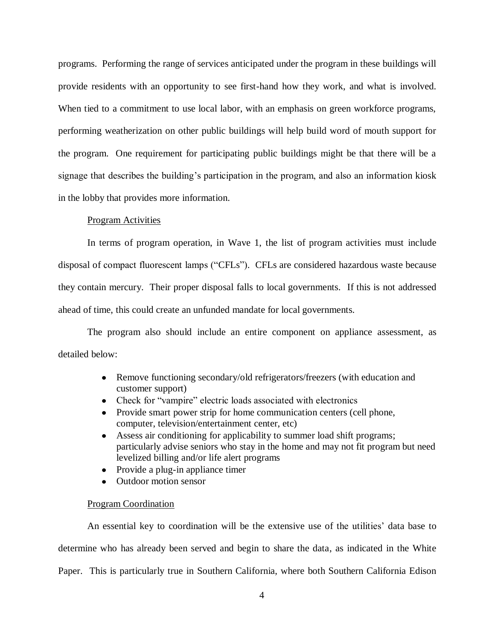programs. Performing the range of services anticipated under the program in these buildings will provide residents with an opportunity to see first-hand how they work, and what is involved. When tied to a commitment to use local labor, with an emphasis on green workforce programs, performing weatherization on other public buildings will help build word of mouth support for the program. One requirement for participating public buildings might be that there will be a signage that describes the building's participation in the program, and also an information kiosk in the lobby that provides more information.

## Program Activities

In terms of program operation, in Wave 1, the list of program activities must include disposal of compact fluorescent lamps ("CFLs"). CFLs are considered hazardous waste because they contain mercury. Their proper disposal falls to local governments. If this is not addressed ahead of time, this could create an unfunded mandate for local governments.

The program also should include an entire component on appliance assessment, as detailed below:

- Remove functioning secondary/old refrigerators/freezers (with education and customer support)
- Check for "vampire" electric loads associated with electronics
- Provide smart power strip for home communication centers (cell phone, computer, television/entertainment center, etc)
- Assess air conditioning for applicability to summer load shift programs; particularly advise seniors who stay in the home and may not fit program but need levelized billing and/or life alert programs
- Provide a plug-in appliance timer
- Outdoor motion sensor  $\bullet$

#### Program Coordination

An essential key to coordination will be the extensive use of the utilities' data base to determine who has already been served and begin to share the data, as indicated in the White Paper. This is particularly true in Southern California, where both Southern California Edison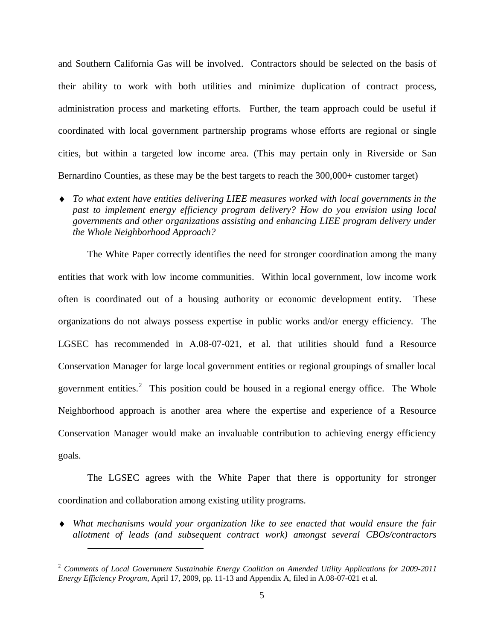and Southern California Gas will be involved. Contractors should be selected on the basis of their ability to work with both utilities and minimize duplication of contract process, administration process and marketing efforts. Further, the team approach could be useful if coordinated with local government partnership programs whose efforts are regional or single cities, but within a targeted low income area. (This may pertain only in Riverside or San Bernardino Counties, as these may be the best targets to reach the 300,000+ customer target)

*To what extent have entities delivering LIEE measures worked with local governments in the past to implement energy efficiency program delivery? How do you envision using local governments and other organizations assisting and enhancing LIEE program delivery under the Whole Neighborhood Approach?*

The White Paper correctly identifies the need for stronger coordination among the many entities that work with low income communities. Within local government, low income work often is coordinated out of a housing authority or economic development entity. These organizations do not always possess expertise in public works and/or energy efficiency. The LGSEC has recommended in A.08-07-021, et al. that utilities should fund a Resource Conservation Manager for large local government entities or regional groupings of smaller local government entities.<sup>2</sup> This position could be housed in a regional energy office. The Whole Neighborhood approach is another area where the expertise and experience of a Resource Conservation Manager would make an invaluable contribution to achieving energy efficiency goals.

The LGSEC agrees with the White Paper that there is opportunity for stronger coordination and collaboration among existing utility programs.

*What mechanisms would your organization like to see enacted that would ensure the fair allotment of leads (and subsequent contract work) amongst several CBOs/contractors* 

 $\overline{a}$ 

<sup>2</sup> *Comments of Local Government Sustainable Energy Coalition on Amended Utility Applications for 2009-2011 Energy Efficiency Program*, April 17, 2009, pp. 11-13 and Appendix A, filed in A.08-07-021 et al.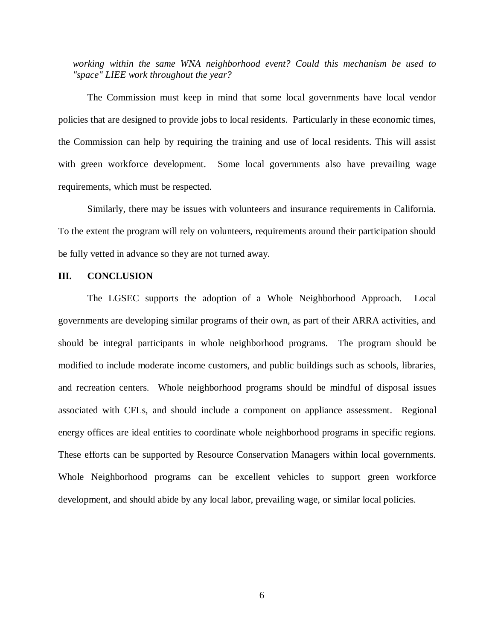*working within the same WNA neighborhood event? Could this mechanism be used to "space" LIEE work throughout the year?*

The Commission must keep in mind that some local governments have local vendor policies that are designed to provide jobs to local residents. Particularly in these economic times, the Commission can help by requiring the training and use of local residents. This will assist with green workforce development. Some local governments also have prevailing wage requirements, which must be respected.

Similarly, there may be issues with volunteers and insurance requirements in California. To the extent the program will rely on volunteers, requirements around their participation should be fully vetted in advance so they are not turned away.

#### **III. CONCLUSION**

The LGSEC supports the adoption of a Whole Neighborhood Approach. Local governments are developing similar programs of their own, as part of their ARRA activities, and should be integral participants in whole neighborhood programs. The program should be modified to include moderate income customers, and public buildings such as schools, libraries, and recreation centers. Whole neighborhood programs should be mindful of disposal issues associated with CFLs, and should include a component on appliance assessment. Regional energy offices are ideal entities to coordinate whole neighborhood programs in specific regions. These efforts can be supported by Resource Conservation Managers within local governments. Whole Neighborhood programs can be excellent vehicles to support green workforce development, and should abide by any local labor, prevailing wage, or similar local policies.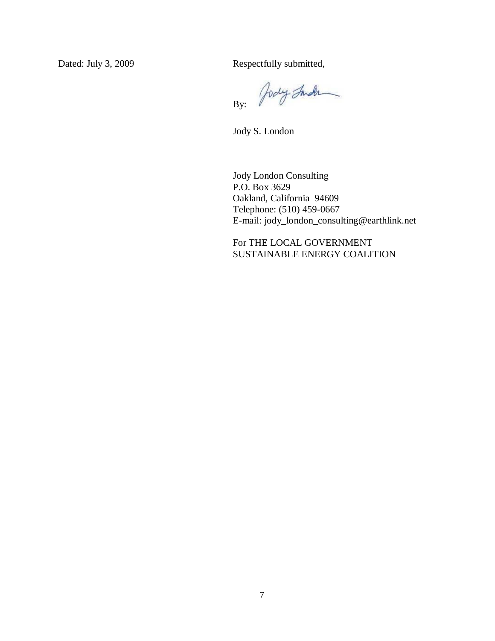Dated: July 3, 2009 Respectfully submitted,

Jody Inder By:

Jody S. London

Jody London Consulting P.O. Box 3629 Oakland, California 94609 Telephone: (510) 459-0667 E-mail: jody\_london\_consulting@earthlink.net

For THE LOCAL GOVERNMENT SUSTAINABLE ENERGY COALITION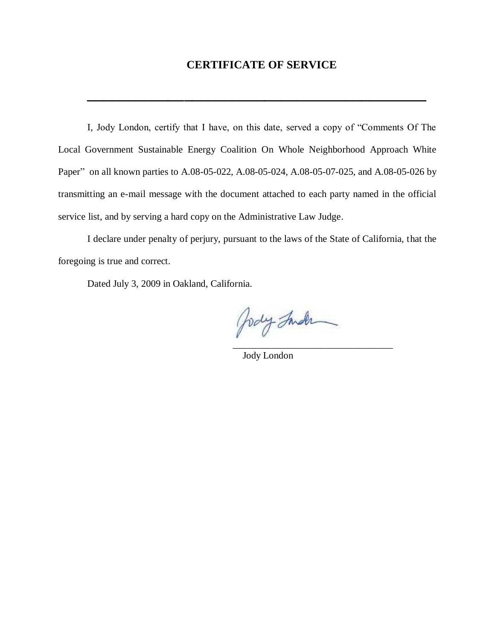# **CERTIFICATE OF SERVICE**

**\_\_\_\_\_\_\_\_\_\_\_\_\_\_\_\_\_\_\_\_\_\_\_\_\_\_\_\_\_\_\_\_\_\_\_\_\_\_\_\_\_\_**

I, Jody London, certify that I have, on this date, served a copy of "Comments Of The Local Government Sustainable Energy Coalition On Whole Neighborhood Approach White Paper" on all known parties to A.08-05-022, A.08-05-024, A.08-05-07-025, and A.08-05-026 by transmitting an e-mail message with the document attached to each party named in the official service list, and by serving a hard copy on the Administrative Law Judge.

I declare under penalty of perjury, pursuant to the laws of the State of California, that the foregoing is true and correct.

Dated July 3, 2009 in Oakland, California.

Jody Inder \_\_\_\_\_\_\_\_\_\_\_\_\_\_\_\_\_\_\_\_\_\_\_\_\_\_\_\_\_\_\_\_\_

Jody London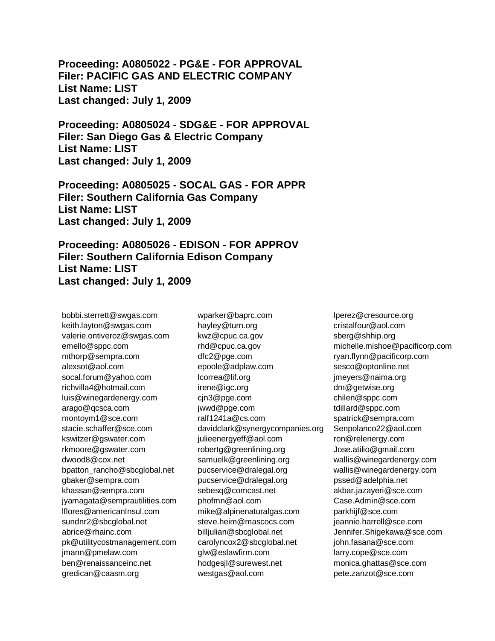**Proceeding: A0805022 - PG&E - FOR APPROVAL Filer: PACIFIC GAS AND ELECTRIC COMPANY List Name: LIST Last changed: July 1, 2009** 

**Proceeding: A0805024 - SDG&E - FOR APPROVAL Filer: San Diego Gas & Electric Company List Name: LIST Last changed: July 1, 2009** 

**Proceeding: A0805025 - SOCAL GAS - FOR APPR Filer: Southern California Gas Company List Name: LIST Last changed: July 1, 2009** 

**Proceeding: A0805026 - EDISON - FOR APPROV Filer: Southern California Edison Company List Name: LIST Last changed: July 1, 2009** 

bobbi.sterrett@swgas.com keith.layton@swgas.com valerie.ontiveroz@swgas.com emello@sppc.com mthorp@sempra.com alexsot@aol.com socal.forum@yahoo.com richvilla4@hotmail.com luis@winegardenergy.com arago@qcsca.com montoym1@sce.com stacie.schaffer@sce.com kswitzer@gswater.com rkmoore@gswater.com dwood8@cox.net bpatton\_rancho@sbcglobal.net gbaker@sempra.com khassan@sempra.com jyamagata@semprautilities.com lflores@americanInsul.com sundnr2@sbcglobal.net abrice@rhainc.com pk@utilitycostmanagement.com jmann@pmelaw.com ben@renaissanceinc.net gredican@caasm.org

wparker@baprc.com hayley@turn.org kwz@cpuc.ca.gov rhd@cpuc.ca.gov dfc2@pge.com epoole@adplaw.com lcorrea@lif.org irene@igc.org cjn3@pge.com jwwd@pge.com ralf1241a@cs.com davidclark@synergycompanies.org julieenergyeff@aol.com robertg@greenlining.org samuelk@greenlining.org pucservice@dralegal.org pucservice@dralegal.org sebesq@comcast.net phofmn@aol.com mike@alpinenaturalgas.com steve.heim@mascocs.com billjulian@sbcglobal.net carolyncox2@sbcglobal.net glw@eslawfirm.com hodgesjl@surewest.net westgas@aol.com

lperez@cresource.org cristalfour@aol.com sberg@shhip.org michelle.mishoe@pacificorp.com ryan.flynn@pacificorp.com sesco@optonline.net jmeyers@naima.org dm@getwise.org chilen@sppc.com tdillard@sppc.com spatrick@sempra.com Senpolanco22@aol.com ron@relenergy.com Jose.atilio@gmail.com wallis@winegardenergy.com wallis@winegardenergy.com pssed@adelphia.net akbar.jazayeri@sce.com Case.Admin@sce.com parkhijf@sce.com jeannie.harrell@sce.com Jennifer.Shigekawa@sce.com john.fasana@sce.com larry.cope@sce.com monica.ghattas@sce.com pete.zanzot@sce.com